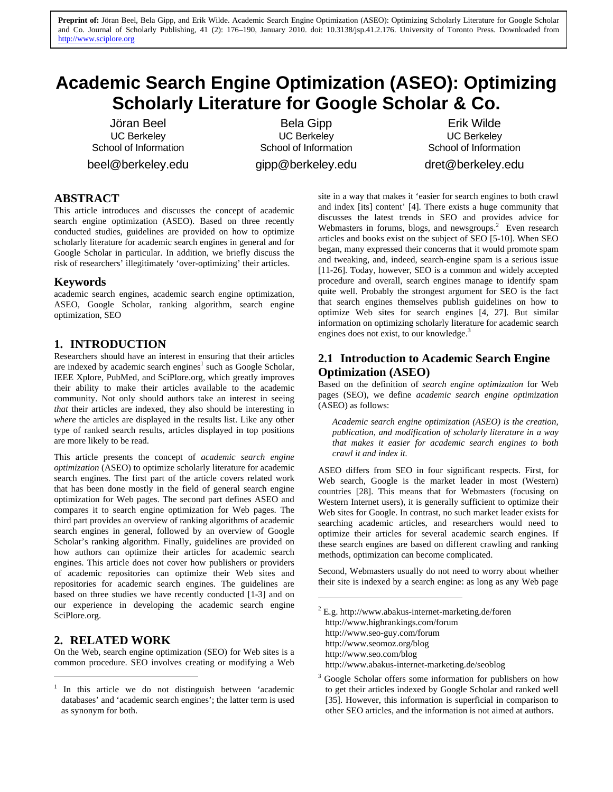Preprint of: Jöran Beel, Bela Gipp, and Erik Wilde. Academic Search Engine Optimization (ASEO): Optimizing Scholarly Literature for Google Scholar and Co. Journal of Scholarly Publishing, 41 (2): 176–190, January 2010. doi: 10.3138/jsp.41.2.176. University of Toronto Press. Downloaded from http://www.sciplore.org

# **Academic Search Engine Optimization (ASEO): Optimizing Scholarly Literature for Google Scholar & Co.**

Jöran Beel UC Berkeley School of Information beel@berkeley.edu

Bela Gipp UC Berkeley School of Information gipp@berkeley.edu

1

Erik Wilde UC Berkeley School of Information dret@berkeley.edu

# **ABSTRACT**

This article introduces and discusses the concept of academic search engine optimization (ASEO). Based on three recently conducted studies, guidelines are provided on how to optimize scholarly literature for academic search engines in general and for Google Scholar in particular. In addition, we briefly discuss the risk of researchers' illegitimately 'over-optimizing' their articles.

### **Keywords**

academic search engines, academic search engine optimization, ASEO, Google Scholar, ranking algorithm, search engine optimization, SEO

# **1. INTRODUCTION**

Researchers should have an interest in ensuring that their articles are indexed by academic search engines<sup>1</sup> such as Google Scholar, IEEE Xplore, PubMed, and SciPlore.org, which greatly improves their ability to make their articles available to the academic community. Not only should authors take an interest in seeing *that* their articles are indexed, they also should be interesting in *where* the articles are displayed in the results list. Like any other type of ranked search results, articles displayed in top positions are more likely to be read.

This article presents the concept of *academic search engine optimization* (ASEO) to optimize scholarly literature for academic search engines. The first part of the article covers related work that has been done mostly in the field of general search engine optimization for Web pages. The second part defines ASEO and compares it to search engine optimization for Web pages. The third part provides an overview of ranking algorithms of academic search engines in general, followed by an overview of Google Scholar's ranking algorithm. Finally, guidelines are provided on how authors can optimize their articles for academic search engines. This article does not cover how publishers or providers of academic repositories can optimize their Web sites and repositories for academic search engines. The guidelines are based on three studies we have recently conducted [1-3] and on our experience in developing the academic search engine SciPlore.org.

# **2. RELATED WORK**

 $\overline{a}$ 

On the Web, search engine optimization (SEO) for Web sites is a common procedure. SEO involves creating or modifying a Web site in a way that makes it 'easier for search engines to both crawl and index [its] content' [4]. There exists a huge community that discusses the latest trends in SEO and provides advice for Webmasters in forums, blogs, and newsgroups. $2$  Even research articles and books exist on the subject of SEO [5-10]. When SEO began, many expressed their concerns that it would promote spam and tweaking, and, indeed, search-engine spam is a serious issue [11-26]. Today, however, SEO is a common and widely accepted procedure and overall, search engines manage to identify spam quite well. Probably the strongest argument for SEO is the fact that search engines themselves publish guidelines on how to optimize Web sites for search engines [4, 27]. But similar information on optimizing scholarly literature for academic search engines does not exist, to our knowledge.<sup>3</sup>

# **2.1 Introduction to Academic Search Engine Optimization (ASEO)**

Based on the definition of *search engine optimization* for Web pages (SEO), we define *academic search engine optimization* (ASEO) as follows:

*Academic search engine optimization (ASEO) is the creation, publication, and modification of scholarly literature in a way that makes it easier for academic search engines to both crawl it and index it.* 

ASEO differs from SEO in four significant respects. First, for Web search, Google is the market leader in most (Western) countries [28]. This means that for Webmasters (focusing on Western Internet users), it is generally sufficient to optimize their Web sites for Google. In contrast, no such market leader exists for searching academic articles, and researchers would need to optimize their articles for several academic search engines. If these search engines are based on different crawling and ranking methods, optimization can become complicated.

Second, Webmasters usually do not need to worry about whether their site is indexed by a search engine: as long as any Web page

 $2$  E.g. http://www.abakus-internet-marketing.de/foren http://www.highrankings.com/forum http://www.seo-guy.com/forum http://www.seomoz.org/blog http://www.seo.com/blog http://www.abakus-internet-marketing.de/seoblog

<sup>1</sup> In this article we do not distinguish between 'academic databases' and 'academic search engines'; the latter term is used as synonym for both.

<sup>&</sup>lt;sup>3</sup> Google Scholar offers some information for publishers on how to get their articles indexed by Google Scholar and ranked well [35]. However, this information is superficial in comparison to other SEO articles, and the information is not aimed at authors.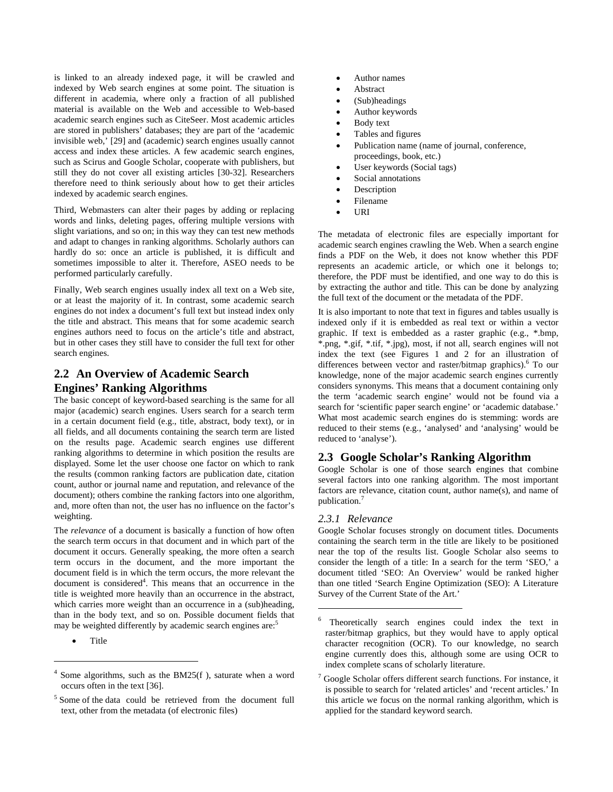is linked to an already indexed page, it will be crawled and indexed by Web search engines at some point. The situation is different in academia, where only a fraction of all published material is available on the Web and accessible to Web-based academic search engines such as CiteSeer. Most academic articles are stored in publishers' databases; they are part of the 'academic invisible web,' [29] and (academic) search engines usually cannot access and index these articles. A few academic search engines, such as Scirus and Google Scholar, cooperate with publishers, but still they do not cover all existing articles [30-32]. Researchers therefore need to think seriously about how to get their articles indexed by academic search engines.

Third, Webmasters can alter their pages by adding or replacing words and links, deleting pages, offering multiple versions with slight variations, and so on; in this way they can test new methods and adapt to changes in ranking algorithms. Scholarly authors can hardly do so: once an article is published, it is difficult and sometimes impossible to alter it. Therefore, ASEO needs to be performed particularly carefully.

Finally, Web search engines usually index all text on a Web site, or at least the majority of it. In contrast, some academic search engines do not index a document's full text but instead index only the title and abstract. This means that for some academic search engines authors need to focus on the article's title and abstract, but in other cases they still have to consider the full text for other search engines.

# **2.2 An Overview of Academic Search Engines' Ranking Algorithms**

The basic concept of keyword-based searching is the same for all major (academic) search engines. Users search for a search term in a certain document field (e.g., title, abstract, body text), or in all fields, and all documents containing the search term are listed on the results page. Academic search engines use different ranking algorithms to determine in which position the results are displayed. Some let the user choose one factor on which to rank the results (common ranking factors are publication date, citation count, author or journal name and reputation, and relevance of the document); others combine the ranking factors into one algorithm, and, more often than not, the user has no influence on the factor's weighting.

The *relevance* of a document is basically a function of how often the search term occurs in that document and in which part of the document it occurs. Generally speaking, the more often a search term occurs in the document, and the more important the document field is in which the term occurs, the more relevant the document is considered<sup>4</sup>. This means that an occurrence in the title is weighted more heavily than an occurrence in the abstract, which carries more weight than an occurrence in a (sub)heading, than in the body text, and so on. Possible document fields that may be weighted differently by academic search engines are:<sup>5</sup>

• Title

1

- Author names
- **Abstract**
- (Sub)headings
- Author keywords
- Body text
- Tables and figures
- Publication name (name of journal, conference, proceedings, book, etc.)
- User keywords (Social tags)
- Social annotations
- **Description**
- Filename
- URI

The metadata of electronic files are especially important for academic search engines crawling the Web. When a search engine finds a PDF on the Web, it does not know whether this PDF represents an academic article, or which one it belongs to; therefore, the PDF must be identified, and one way to do this is by extracting the author and title. This can be done by analyzing the full text of the document or the metadata of the PDF.

It is also important to note that text in figures and tables usually is indexed only if it is embedded as real text or within a vector graphic. If text is embedded as a raster graphic (e.g., \*.bmp, \*.png, \*.gif, \*.tif, \*.jpg), most, if not all, search engines will not index the text (see Figures 1 and 2 for an illustration of differences between vector and raster/bitmap graphics).<sup>6</sup> To our knowledge, none of the major academic search engines currently considers synonyms. This means that a document containing only the term 'academic search engine' would not be found via a search for 'scientific paper search engine' or 'academic database.' What most academic search engines do is stemming: words are reduced to their stems (e.g., 'analysed' and 'analysing' would be reduced to 'analyse').

# **2.3 Google Scholar's Ranking Algorithm**

Google Scholar is one of those search engines that combine several factors into one ranking algorithm. The most important factors are relevance, citation count, author name(s), and name of publication.<sup>7</sup>

### *2.3.1 Relevance*

1

Google Scholar focuses strongly on document titles. Documents containing the search term in the title are likely to be positioned near the top of the results list. Google Scholar also seems to consider the length of a title: In a search for the term 'SEO,' a document titled 'SEO: An Overview' would be ranked higher than one titled 'Search Engine Optimization (SEO): A Literature Survey of the Current State of the Art.'

<sup>4</sup> Some algorithms, such as the BM25(f ), saturate when a word occurs often in the text [36].

<sup>5</sup> Some of the data could be retrieved from the document full text, other from the metadata (of electronic files)

<sup>6</sup> Theoretically search engines could index the text in raster/bitmap graphics, but they would have to apply optical character recognition (OCR). To our knowledge, no search engine currently does this, although some are using OCR to index complete scans of scholarly literature.

 $7$  Google Scholar offers different search functions. For instance, it is possible to search for 'related articles' and 'recent articles.' In this article we focus on the normal ranking algorithm, which is applied for the standard keyword search.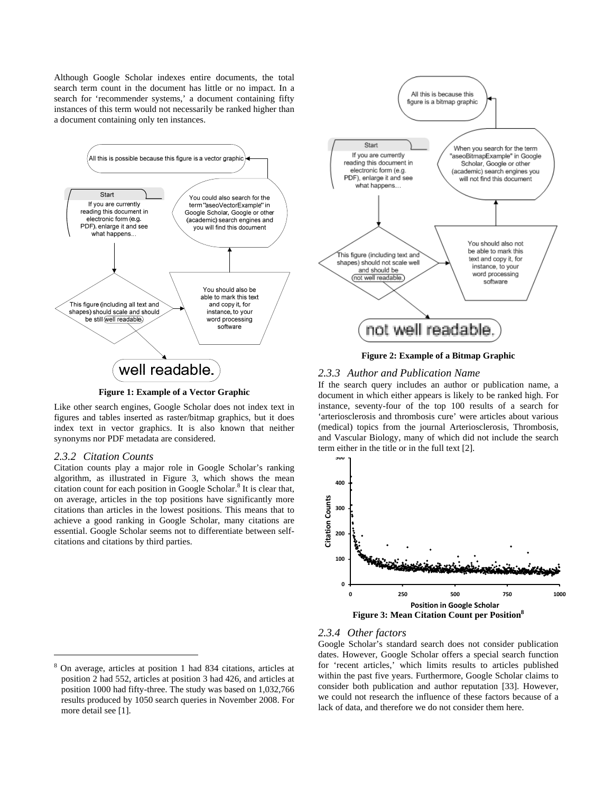Although Google Scholar indexes entire documents, the total search term count in the document has little or no impact. In a search for 'recommender systems,' a document containing fifty instances of this term would not necessarily be ranked higher than a document containing only ten instances.



**Figure 1: Example of a Vector Graphic** 

Like other search engines, Google Scholar does not index text in figures and tables inserted as raster/bitmap graphics, but it does index text in vector graphics. It is also known that neither synonyms nor PDF metadata are considered.

#### *2.3.2 Citation Counts*

1

Citation counts play a major role in Google Scholar's ranking algorithm, as illustrated in Figure 3, which shows the mean citation count for each position in Google Scholar.<sup>8</sup> It is clear that, on average, articles in the top positions have significantly more citations than articles in the lowest positions. This means that to achieve a good ranking in Google Scholar, many citations are essential. Google Scholar seems not to differentiate between selfcitations and citations by third parties.





**Figure 2: Example of a Bitmap Graphic** 

### *2.3.3 Author and Publication Name*

If the search query includes an author or publication name, a document in which either appears is likely to be ranked high. For instance, seventy-four of the top 100 results of a search for 'arteriosclerosis and thrombosis cure' were articles about various (medical) topics from the journal Arteriosclerosis, Thrombosis, and Vascular Biology, many of which did not include the search term either in the title or in the full text [2].



#### *2.3.4 Other factors*

Google Scholar's standard search does not consider publication dates. However, Google Scholar offers a special search function for 'recent articles,' which limits results to articles published within the past five years. Furthermore, Google Scholar claims to consider both publication and author reputation [33]. However, we could not research the influence of these factors because of a lack of data, and therefore we do not consider them here.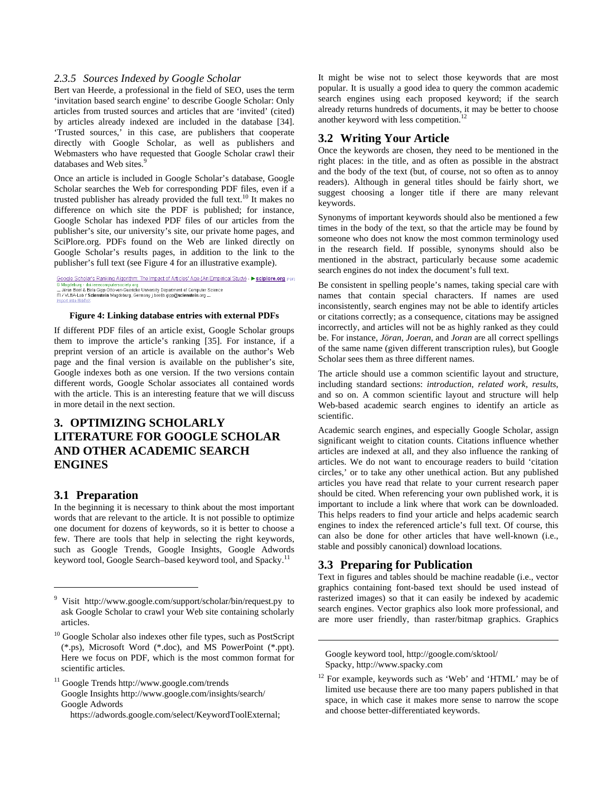### *2.3.5 Sources Indexed by Google Scholar*

Bert van Heerde, a professional in the field of SEO, uses the term 'invitation based search engine' to describe Google Scholar: Only articles from trusted sources and articles that are 'invited' (cited) by articles already indexed are included in the database [34]. 'Trusted sources,' in this case, are publishers that cooperate directly with Google Scholar, as well as publishers and Webmasters who have requested that Google Scholar crawl their databases and Web sites.<sup>9</sup>

Once an article is included in Google Scholar's database, Google Scholar searches the Web for corresponding PDF files, even if a trusted publisher has already provided the full text.<sup>10</sup> It makes no difference on which site the PDF is published; for instance, Google Scholar has indexed PDF files of our articles from the publisher's site, our university's site, our private home pages, and SciPlore.org. PDFs found on the Web are linked directly on Google Scholar's results pages, in addition to the link to the publisher's full text (see Figure 4 for an illustrative example).

Google Scholar's Ranking Algorithm: The Impact of Articles' Age (An Empirical Study) - Sciplore.org (PDF) Consider the Computers of the International Computer of the Computer Science<br>
... Joran Beel & Bela Gipp Otto-von-Guericke University Department of Computer Science<br>
ITI / VLBA-Lab / Scienstein Magdeburg, Germany j.beel(b.

#### **Figure 4: Linking database entries with external PDFs**

If different PDF files of an article exist, Google Scholar groups them to improve the article's ranking [35]. For instance, if a preprint version of an article is available on the author's Web page and the final version is available on the publisher's site, Google indexes both as one version. If the two versions contain different words, Google Scholar associates all contained words with the article. This is an interesting feature that we will discuss in more detail in the next section.

# **3. OPTIMIZING SCHOLARLY LITERATURE FOR GOOGLE SCHOLAR AND OTHER ACADEMIC SEARCH ENGINES**

### **3.1 Preparation**

1

In the beginning it is necessary to think about the most important words that are relevant to the article. It is not possible to optimize one document for dozens of keywords, so it is better to choose a few. There are tools that help in selecting the right keywords, such as Google Trends, Google Insights, Google Adwords keyword tool, Google Search–based keyword tool, and Spacky.<sup>11</sup>

https://adwords.google.com/select/KeywordToolExternal;

It might be wise not to select those keywords that are most popular. It is usually a good idea to query the common academic search engines using each proposed keyword; if the search already returns hundreds of documents, it may be better to choose another keyword with less competition.<sup>12</sup>

# **3.2 Writing Your Article**

Once the keywords are chosen, they need to be mentioned in the right places: in the title, and as often as possible in the abstract and the body of the text (but, of course, not so often as to annoy readers). Although in general titles should be fairly short, we suggest choosing a longer title if there are many relevant keywords.

Synonyms of important keywords should also be mentioned a few times in the body of the text, so that the article may be found by someone who does not know the most common terminology used in the research field. If possible, synonyms should also be mentioned in the abstract, particularly because some academic search engines do not index the document's full text.

Be consistent in spelling people's names, taking special care with names that contain special characters. If names are used inconsistently, search engines may not be able to identify articles or citations correctly; as a consequence, citations may be assigned incorrectly, and articles will not be as highly ranked as they could be. For instance, *Jöran*, *Joeran*, and *Joran* are all correct spellings of the same name (given different transcription rules), but Google Scholar sees them as three different names.

The article should use a common scientific layout and structure, including standard sections: *introduction*, *related work*, *results*, and so on. A common scientific layout and structure will help Web-based academic search engines to identify an article as scientific.

Academic search engines, and especially Google Scholar, assign significant weight to citation counts. Citations influence whether articles are indexed at all, and they also influence the ranking of articles. We do not want to encourage readers to build 'citation circles,' or to take any other unethical action. But any published articles you have read that relate to your current research paper should be cited. When referencing your own published work, it is important to include a link where that work can be downloaded. This helps readers to find your article and helps academic search engines to index the referenced article's full text. Of course, this can also be done for other articles that have well-known (i.e., stable and possibly canonical) download locations.

### **3.3 Preparing for Publication**

 $\overline{a}$ 

Text in figures and tables should be machine readable (i.e., vector graphics containing font-based text should be used instead of rasterized images) so that it can easily be indexed by academic search engines. Vector graphics also look more professional, and are more user friendly, than raster/bitmap graphics. Graphics

<sup>9</sup> Visit http://www.google.com/support/scholar/bin/request.py to ask Google Scholar to crawl your Web site containing scholarly articles.

 $10$  Google Scholar also indexes other file types, such as PostScript (\*.ps), Microsoft Word (\*.doc), and MS PowerPoint (\*.ppt). Here we focus on PDF, which is the most common format for scientific articles.

<sup>11</sup> Google Trends http://www.google.com/trends Google Insights http://www.google.com/insights/search/ Google Adwords

Google keyword tool, http://google.com/sktool/ Spacky, http://www.spacky.com

<sup>&</sup>lt;sup>12</sup> For example, keywords such as 'Web' and 'HTML' may be of limited use because there are too many papers published in that space, in which case it makes more sense to narrow the scope and choose better-differentiated keywords.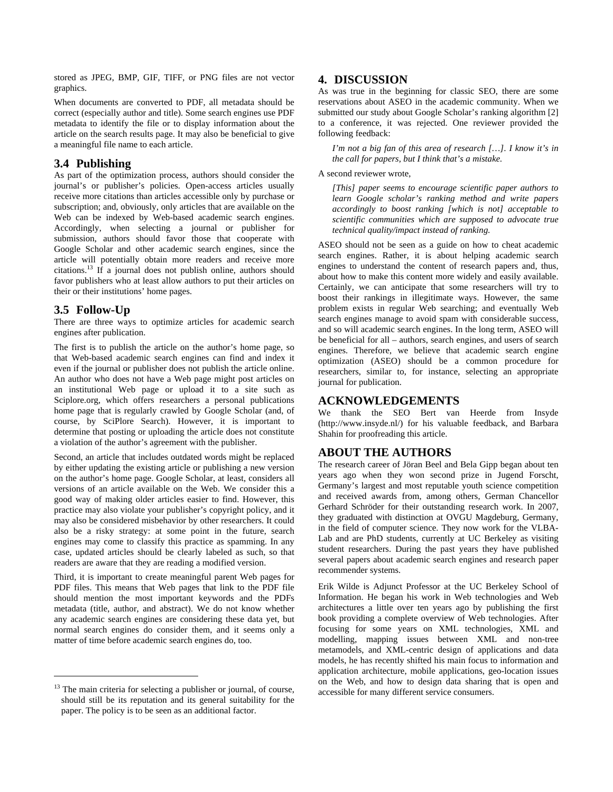stored as JPEG, BMP, GIF, TIFF, or PNG files are not vector graphics.

When documents are converted to PDF, all metadata should be correct (especially author and title). Some search engines use PDF metadata to identify the file or to display information about the article on the search results page. It may also be beneficial to give a meaningful file name to each article.

### **3.4 Publishing**

As part of the optimization process, authors should consider the journal's or publisher's policies. Open-access articles usually receive more citations than articles accessible only by purchase or subscription; and, obviously, only articles that are available on the Web can be indexed by Web-based academic search engines. Accordingly, when selecting a journal or publisher for submission, authors should favor those that cooperate with Google Scholar and other academic search engines, since the article will potentially obtain more readers and receive more citations.13 If a journal does not publish online, authors should favor publishers who at least allow authors to put their articles on their or their institutions' home pages.

### **3.5 Follow-Up**

l

There are three ways to optimize articles for academic search engines after publication.

The first is to publish the article on the author's home page, so that Web-based academic search engines can find and index it even if the journal or publisher does not publish the article online. An author who does not have a Web page might post articles on an institutional Web page or upload it to a site such as Sciplore.org, which offers researchers a personal publications home page that is regularly crawled by Google Scholar (and, of course, by SciPlore Search). However, it is important to determine that posting or uploading the article does not constitute a violation of the author's agreement with the publisher.

Second, an article that includes outdated words might be replaced by either updating the existing article or publishing a new version on the author's home page. Google Scholar, at least, considers all versions of an article available on the Web. We consider this a good way of making older articles easier to find. However, this practice may also violate your publisher's copyright policy, and it may also be considered misbehavior by other researchers. It could also be a risky strategy: at some point in the future, search engines may come to classify this practice as spamming. In any case, updated articles should be clearly labeled as such, so that readers are aware that they are reading a modified version.

Third, it is important to create meaningful parent Web pages for PDF files. This means that Web pages that link to the PDF file should mention the most important keywords and the PDFs metadata (title, author, and abstract). We do not know whether any academic search engines are considering these data yet, but normal search engines do consider them, and it seems only a matter of time before academic search engines do, too.

# **4. DISCUSSION**

As was true in the beginning for classic SEO, there are some reservations about ASEO in the academic community. When we submitted our study about Google Scholar's ranking algorithm [2] to a conference, it was rejected. One reviewer provided the following feedback:

*I'm not a big fan of this area of research […]. I know it's in the call for papers, but I think that's a mistake.* 

### A second reviewer wrote,

*[This] paper seems to encourage scientific paper authors to learn Google scholar's ranking method and write papers accordingly to boost ranking [which is not] acceptable to scientific communities which are supposed to advocate true technical quality/impact instead of ranking.* 

ASEO should not be seen as a guide on how to cheat academic search engines. Rather, it is about helping academic search engines to understand the content of research papers and, thus, about how to make this content more widely and easily available. Certainly, we can anticipate that some researchers will try to boost their rankings in illegitimate ways. However, the same problem exists in regular Web searching; and eventually Web search engines manage to avoid spam with considerable success, and so will academic search engines. In the long term, ASEO will be beneficial for all – authors, search engines, and users of search engines. Therefore, we believe that academic search engine optimization (ASEO) should be a common procedure for researchers, similar to, for instance, selecting an appropriate journal for publication.

### **ACKNOWLEDGEMENTS**

We thank the SEO Bert van Heerde from Insyde (http://www.insyde.nl/) for his valuable feedback, and Barbara Shahin for proofreading this article.

# **ABOUT THE AUTHORS**

The research career of Jöran Beel and Bela Gipp began about ten years ago when they won second prize in Jugend Forscht, Germany's largest and most reputable youth science competition and received awards from, among others, German Chancellor Gerhard Schröder for their outstanding research work. In 2007, they graduated with distinction at OVGU Magdeburg, Germany, in the field of computer science. They now work for the VLBA-Lab and are PhD students, currently at UC Berkeley as visiting student researchers. During the past years they have published several papers about academic search engines and research paper recommender systems.

Erik Wilde is Adjunct Professor at the UC Berkeley School of Information. He began his work in Web technologies and Web architectures a little over ten years ago by publishing the first book providing a complete overview of Web technologies. After focusing for some years on XML technologies, XML and modelling, mapping issues between XML and non-tree metamodels, and XML-centric design of applications and data models, he has recently shifted his main focus to information and application architecture, mobile applications, geo-location issues on the Web, and how to design data sharing that is open and accessible for many different service consumers.

 $13$  The main criteria for selecting a publisher or journal, of course, should still be its reputation and its general suitability for the paper. The policy is to be seen as an additional factor.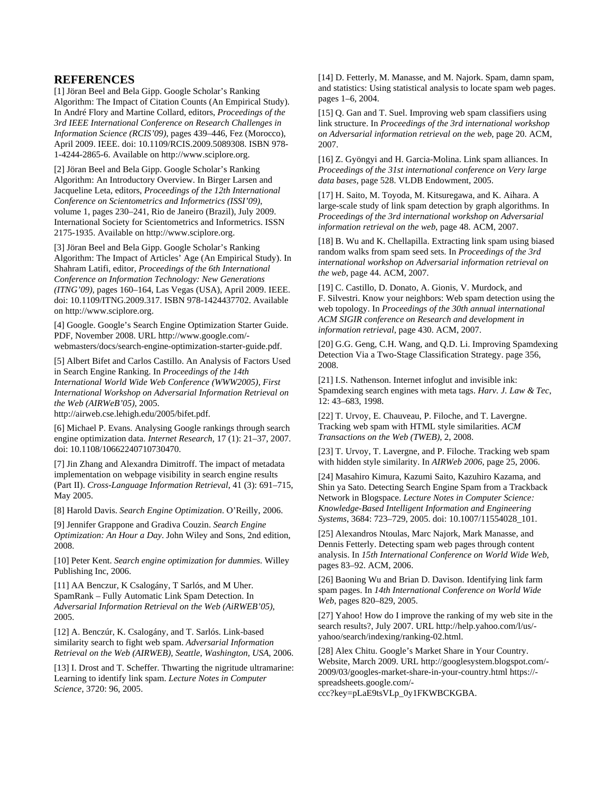# **REFERENCES**

[1] Jöran Beel and Bela Gipp. Google Scholar's Ranking Algorithm: The Impact of Citation Counts (An Empirical Study). In André Flory and Martine Collard, editors, *Proceedings of the 3rd IEEE International Conference on Research Challenges in Information Science (RCIS'09)*, pages 439–446, Fez (Morocco), April 2009. IEEE. doi: 10.1109/RCIS.2009.5089308. ISBN 978- 1-4244-2865-6. Available on http://www.sciplore.org.

[2] Jöran Beel and Bela Gipp. Google Scholar's Ranking Algorithm: An Introductory Overview. In Birger Larsen and Jacqueline Leta, editors, *Proceedings of the 12th International Conference on Scientometrics and Informetrics (ISSI'09)*, volume 1, pages 230–241, Rio de Janeiro (Brazil), July 2009. International Society for Scientometrics and Informetrics. ISSN 2175-1935. Available on http://www.sciplore.org.

[3] Jöran Beel and Bela Gipp. Google Scholar's Ranking Algorithm: The Impact of Articles' Age (An Empirical Study). In Shahram Latifi, editor, *Proceedings of the 6th International Conference on Information Technology: New Generations (ITNG'09)*, pages 160–164, Las Vegas (USA), April 2009. IEEE. doi: 10.1109/ITNG.2009.317. ISBN 978-1424437702. Available on http://www.sciplore.org.

[4] Google. Google's Search Engine Optimization Starter Guide. PDF, November 2008. URL http://www.google.com/ webmasters/docs/search-engine-optimization-starter-guide.pdf.

[5] Albert Bifet and Carlos Castillo. An Analysis of Factors Used in Search Engine Ranking. In *Proceedings of the 14th International World Wide Web Conference (WWW2005), First International Workshop on Adversarial Information Retrieval on the Web (AIRWeB'05)*, 2005.

http://airweb.cse.lehigh.edu/2005/bifet.pdf.

[6] Michael P. Evans. Analysing Google rankings through search engine optimization data. *Internet Research*, 17 (1): 21–37, 2007. doi: 10.1108/10662240710730470.

[7] Jin Zhang and Alexandra Dimitroff. The impact of metadata implementation on webpage visibility in search engine results (Part II). *Cross-Language Information Retrieval*, 41 (3): 691–715, May 2005.

[8] Harold Davis. *Search Engine Optimization*. O'Reilly, 2006.

[9] Jennifer Grappone and Gradiva Couzin. *Search Engine Optimization: An Hour a Day*. John Wiley and Sons, 2nd edition, 2008.

[10] Peter Kent. *Search engine optimization for dummies*. Willey Publishing Inc, 2006.

[11] AA Benczur, K Csalogány, T Sarlós, and M Uher. SpamRank – Fully Automatic Link Spam Detection. In *Adversarial Information Retrieval on the Web (AiRWEB'05)*, 2005.

[12] A. Benczúr, K. Csalogány, and T. Sarlós. Link-based similarity search to fight web spam. *Adversarial Information Retrieval on the Web (AIRWEB), Seattle, Washington, USA*, 2006.

[13] I. Drost and T. Scheffer. Thwarting the nigritude ultramarine: Learning to identify link spam. *Lecture Notes in Computer Science*, 3720: 96, 2005.

[14] D. Fetterly, M. Manasse, and M. Najork. Spam, damn spam, and statistics: Using statistical analysis to locate spam web pages. pages 1–6, 2004.

[15] Q. Gan and T. Suel. Improving web spam classifiers using link structure. In *Proceedings of the 3rd international workshop on Adversarial information retrieval on the web*, page 20. ACM, 2007.

[16] Z. Gyöngyi and H. Garcia-Molina. Link spam alliances. In *Proceedings of the 31st international conference on Very large data bases*, page 528. VLDB Endowment, 2005.

[17] H. Saito, M. Toyoda, M. Kitsuregawa, and K. Aihara. A large-scale study of link spam detection by graph algorithms. In *Proceedings of the 3rd international workshop on Adversarial information retrieval on the web*, page 48. ACM, 2007.

[18] B. Wu and K. Chellapilla. Extracting link spam using biased random walks from spam seed sets. In *Proceedings of the 3rd international workshop on Adversarial information retrieval on the web*, page 44. ACM, 2007.

[19] C. Castillo, D. Donato, A. Gionis, V. Murdock, and F. Silvestri. Know your neighbors: Web spam detection using the web topology. In *Proceedings of the 30th annual international ACM SIGIR conference on Research and development in information retrieval*, page 430. ACM, 2007.

[20] G.G. Geng, C.H. Wang, and Q.D. Li. Improving Spamdexing Detection Via a Two-Stage Classification Strategy. page 356, 2008.

[21] I.S. Nathenson. Internet infoglut and invisible ink: Spamdexing search engines with meta tags. *Harv. J. Law & Tec*, 12: 43–683, 1998.

[22] T. Urvoy, E. Chauveau, P. Filoche, and T. Lavergne. Tracking web spam with HTML style similarities. *ACM Transactions on the Web (TWEB)*, 2, 2008.

[23] T. Urvoy, T. Lavergne, and P. Filoche. Tracking web spam with hidden style similarity. In *AIRWeb 2006*, page 25, 2006.

[24] Masahiro Kimura, Kazumi Saito, Kazuhiro Kazama, and Shin ya Sato. Detecting Search Engine Spam from a Trackback Network in Blogspace. *Lecture Notes in Computer Science: Knowledge-Based Intelligent Information and Engineering Systems*, 3684: 723–729, 2005. doi: 10.1007/11554028\_101.

[25] Alexandros Ntoulas, Marc Najork, Mark Manasse, and Dennis Fetterly. Detecting spam web pages through content analysis. In *15th International Conference on World Wide Web*, pages 83–92. ACM, 2006.

[26] Baoning Wu and Brian D. Davison. Identifying link farm spam pages. In *14th International Conference on World Wide Web*, pages 820–829, 2005.

[27] Yahoo! How do I improve the ranking of my web site in the search results?, July 2007. URL http://help.yahoo.com/l/us/ yahoo/search/indexing/ranking-02.html.

[28] Alex Chitu. Google's Market Share in Your Country. Website, March 2009. URL http://googlesystem.blogspot.com/- 2009/03/googles-market-share-in-your-country.html https:// spreadsheets.google.com/-

ccc?key=pLaE9tsVLp\_0y1FKWBCKGBA.